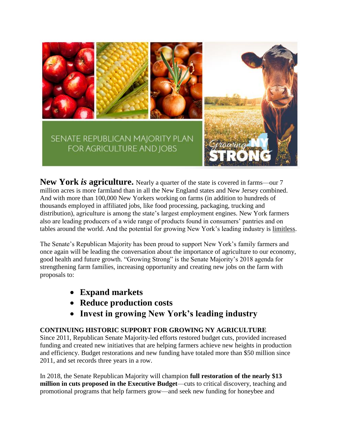

**New York** *is* **agriculture.** Nearly a quarter of the state is covered in farms—our 7 million acres is more farmland than in all the New England states and New Jersey combined. And with more than 100,000 New Yorkers working on farms (in addition to hundreds of thousands employed in affiliated jobs, like food processing, packaging, trucking and distribution), agriculture is among the state's largest employment engines. New York farmers also are leading producers of a wide range of products found in consumers' pantries and on tables around the world. And the potential for growing New York's leading industry is limitless.

The Senate's Republican Majority has been proud to support New York's family farmers and once again will be leading the conversation about the importance of agriculture to our economy, good health and future growth. "Growing Strong" is the Senate Majority's 2018 agenda for strengthening farm families, increasing opportunity and creating new jobs on the farm with proposals to:

- **Expand markets**
- **Reduce production costs**
- **Invest in growing New York's leading industry**

# **CONTINUING HISTORIC SUPPORT FOR GROWING NY AGRICULTURE**

Since 2011, Republican Senate Majority-led efforts restored budget cuts, provided increased funding and created new initiatives that are helping farmers achieve new heights in production and efficiency. Budget restorations and new funding have totaled more than \$50 million since 2011, and set records three years in a row.

In 2018, the Senate Republican Majority will champion **full restoration of the nearly \$13 million in cuts proposed in the Executive Budget**—cuts to critical discovery, teaching and promotional programs that help farmers grow—and seek new funding for honeybee and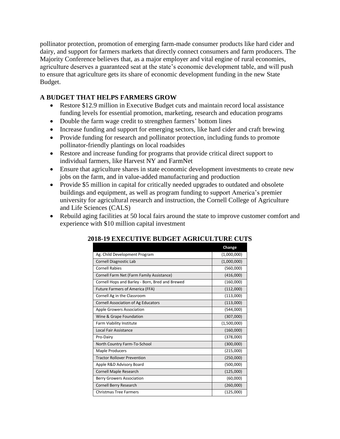pollinator protection, promotion of emerging farm-made consumer products like hard cider and dairy, and support for farmers markets that directly connect consumers and farm producers. The Majority Conference believes that, as a major employer and vital engine of rural economies, agriculture deserves a guaranteed seat at the state's economic development table, and will push to ensure that agriculture gets its share of economic development funding in the new State Budget.

## **A BUDGET THAT HELPS FARMERS GROW**

- Restore \$12.9 million in Executive Budget cuts and maintain record local assistance funding levels for essential promotion, marketing, research and education programs
- Double the farm wage credit to strengthen farmers' bottom lines
- Increase funding and support for emerging sectors, like hard cider and craft brewing
- Provide funding for research and pollinator protection, including funds to promote pollinator-friendly plantings on local roadsides
- Restore and increase funding for programs that provide critical direct support to individual farmers, like Harvest NY and FarmNet
- Ensure that agriculture shares in state economic development investments to create new jobs on the farm, and in value-added manufacturing and production
- Provide \$5 million in capital for critically needed upgrades to outdated and obsolete buildings and equipment, as well as program funding to support America's premier university for agricultural research and instruction, the Cornell College of Agriculture and Life Sciences (CALS)
- Rebuild aging facilities at 50 local fairs around the state to improve customer comfort and experience with \$10 million capital investment

|                                                 | Change      |
|-------------------------------------------------|-------------|
| Ag. Child Development Program                   | (1,000,000) |
| Cornell Diagnostic Lab                          | (1,000,000) |
| <b>Cornell Rabies</b>                           | (560,000)   |
| Cornell Farm Net (Farm Family Assistance)       | (416,000)   |
| Cornell Hops and Barley - Born, Bred and Brewed | (160,000)   |
| <b>Future Farmers of America (FFA)</b>          | (112,000)   |
| Cornell Ag in the Classroom                     | (113,000)   |
| Cornell Association of Ag Educators             | (113,000)   |
| <b>Apple Growers Association</b>                | (544,000)   |
| Wine & Grape Foundation                         | (307,000)   |
| Farm Viability Institute                        | (1,500,000) |
| Local Fair Assistance                           | (160,000)   |
| Pro-Dairy                                       | (378,000)   |
| North Country Farm-To-School                    | (300,000)   |
| <b>Maple Producers</b>                          | (215,000)   |
| <b>Tractor Rollover Prevention</b>              | (250,000)   |
| Apple R&D Advisory Board                        | (500,000)   |
| <b>Cornell Maple Research</b>                   | (125,000)   |
| <b>Berry Growers Association</b>                | (60,000)    |
| Cornell Berry Research                          | (260,000)   |
| <b>Christmas Tree Farmers</b>                   | (125,000)   |

## **2018-19 EXECUTIVE BUDGET AGRICULTURE CUTS**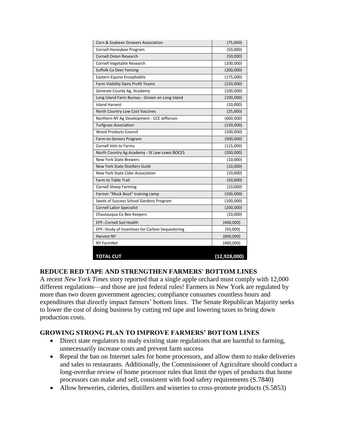| Corn & Soybean Growers Association               | (75,000)       |
|--------------------------------------------------|----------------|
| Cornell Honeybee Program                         | (50,000)       |
| <b>Cornell Onion Research</b>                    | (50,000)       |
| Cornell Vegetable Research                       | (100,000)      |
| Suffolk Co Deer Fencing                          | (200,000)      |
| Eastern Equine Encephalitis                      | (175,000)      |
| Farm Viability Dairy Profit Teams                | (220,000)      |
| Genesee County Ag. Academy                       | (100,000)      |
| Long Island Farm Bureau - Grown on Long Island   | (100,000)      |
| <b>Island Harvest</b>                            | (20,000)       |
| North Country Low Cost Vaccines                  | (25,000)       |
| Northern NY Ag Development - CCE Jefferson       | (600,000)      |
| <b>Turfgrass Association</b>                     | (150,000)      |
| <b>Wood Products Council</b>                     | (100,000)      |
| Farm-to-Seniors Program                          | (500,000)      |
| <b>Cornell Vets to Farms</b>                     | (115,000)      |
| North Country Ag Academy - St Law-Lewis BOCES    | (200,000)      |
| <b>New York State Brewers</b>                    | (10,000)       |
| New York State Distillers Guild                  | (10,000)       |
| New York State Cider Association                 | (10,000)       |
| <b>Farm to Table Trail</b>                       | (50,000)       |
| <b>Cornell Sheep Farming</b>                     | (10,000)       |
| Farmer "Muck Boot" training camp                 | (100,000)      |
| Seeds of Success School Gardens Program          | (100,000)      |
| <b>Cornell Labor Specialist</b>                  | (200,000)      |
| Chautauqua Co Bee Keepers                        | (10,000)       |
| <b>EPF--Cornell Soil Health</b>                  | (400,000)      |
| EPF--Study of Incentives for Carbon Sequestering | (50,000)       |
| <b>Harvest NY</b>                                | (600,000)      |
| <b>NY FarmNet</b>                                | (400,000)      |
| <b>TOTAL CUT</b>                                 | (12, 928, 000) |

#### **REDUCE RED TAPE AND STRENGTHEN FARMERS' BOTTOM LINES**

A recent *New York Times* story reported that a single apple orchard must comply with 12,000 different regulations—and those are just federal rules! Farmers in New York are regulated by more than two dozen government agencies; compliance consumes countless hours and expenditures that directly impact farmers' bottom lines. The Senate Republican Majority seeks to lower the cost of doing business by cutting red tape and lowering taxes to bring down production costs.

#### **GROWING STRONG PLAN TO IMPROVE FARMERS' BOTTOM LINES**

- Direct state regulators to study existing state regulations that are harmful to farming, unnecessarily increase costs and prevent farm success
- Repeal the ban on Internet sales for home processors, and allow them to make deliveries and sales to restaurants. Additionally, the Commissioner of Agriculture should conduct a long-overdue review of home processor rules that limit the types of products that home processors can make and sell, consistent with food safety requirements (S.7840)
- Allow breweries, cideries, distillers and wineries to cross-promote products (S.5853)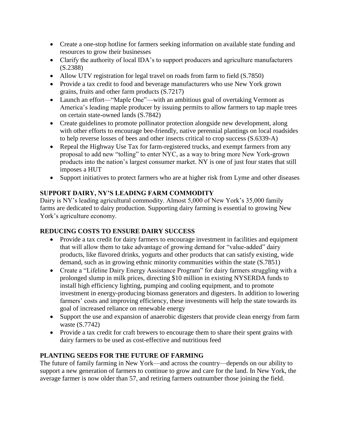- Create a one-stop hotline for farmers seeking information on available state funding and resources to grow their businesses
- Clarify the authority of local IDA's to support producers and agriculture manufacturers (S.2388)
- Allow UTV registration for legal travel on roads from farm to field (S.7850)
- Provide a tax credit to food and beverage manufacturers who use New York grown grains, fruits and other farm products (S.7217)
- Launch an effort—"Maple One"—with an ambitious goal of overtaking Vermont as America's leading maple producer by issuing permits to allow farmers to tap maple trees on certain state-owned lands (S.7842)
- Create guidelines to promote pollinator protection alongside new development, along with other efforts to encourage bee-friendly, native perennial plantings on local roadsides to help reverse losses of bees and other insects critical to crop success (S.6339-A)
- Repeal the Highway Use Tax for farm-registered trucks, and exempt farmers from any proposal to add new "tolling" to enter NYC, as a way to bring more New York-grown products into the nation's largest consumer market. NY is one of just four states that still imposes a HUT
- Support initiatives to protect farmers who are at higher risk from Lyme and other diseases

## **SUPPORT DAIRY, NY'S LEADING FARM COMMODITY**

Dairy is NY's leading agricultural commodity. Almost 5,000 of New York's 35,000 family farms are dedicated to dairy production. Supporting dairy farming is essential to growing New York's agriculture economy.

## **REDUCING COSTS TO ENSURE DAIRY SUCCESS**

- Provide a tax credit for dairy farmers to encourage investment in facilities and equipment that will allow them to take advantage of growing demand for "value-added" dairy products, like flavored drinks, yogurts and other products that can satisfy existing, wide demand, such as in growing ethnic minority communities within the state (S.7851)
- Create a "Lifeline Dairy Energy Assistance Program" for dairy farmers struggling with a prolonged slump in milk prices, directing \$10 million in existing NYSERDA funds to install high efficiency lighting, pumping and cooling equipment, and to promote investment in energy-producing biomass generators and digesters. In addition to lowering farmers' costs and improving efficiency, these investments will help the state towards its goal of increased reliance on renewable energy
- Support the use and expansion of anaerobic digesters that provide clean energy from farm waste (S.7742)
- Provide a tax credit for craft brewers to encourage them to share their spent grains with dairy farmers to be used as cost-effective and nutritious feed

## **PLANTING SEEDS FOR THE FUTURE OF FARMING**

The future of family farming in New York—and across the country—depends on our ability to support a new generation of farmers to continue to grow and care for the land. In New York, the average farmer is now older than 57, and retiring farmers outnumber those joining the field.